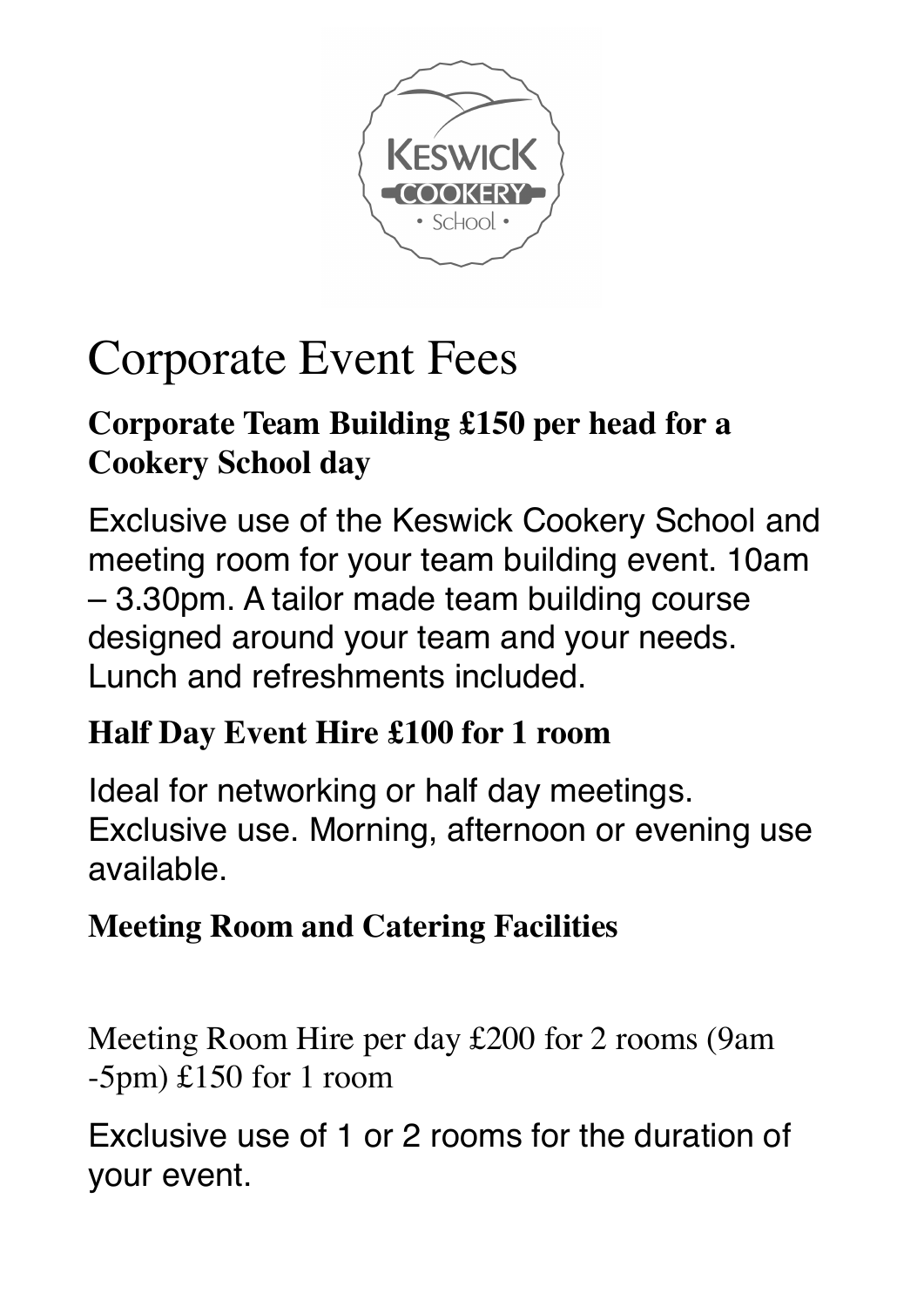

# Corporate Event Fees

## **Corporate Team Building £150 per head for a Cookery School day**

Exclusive use of the Keswick Cookery School and meeting room for your team building event. 10am – 3.30pm. A tailor made team building course designed around your team and your needs. Lunch and refreshments included.

### **Half Day Event Hire £100 for 1 room**

Ideal for networking or half day meetings. Exclusive use. Morning, afternoon or evening use available.

# **Meeting Room and Catering Facilities**

Meeting Room Hire per day £200 for 2 rooms (9am -5pm) £150 for 1 room

Exclusive use of 1 or 2 rooms for the duration of your event.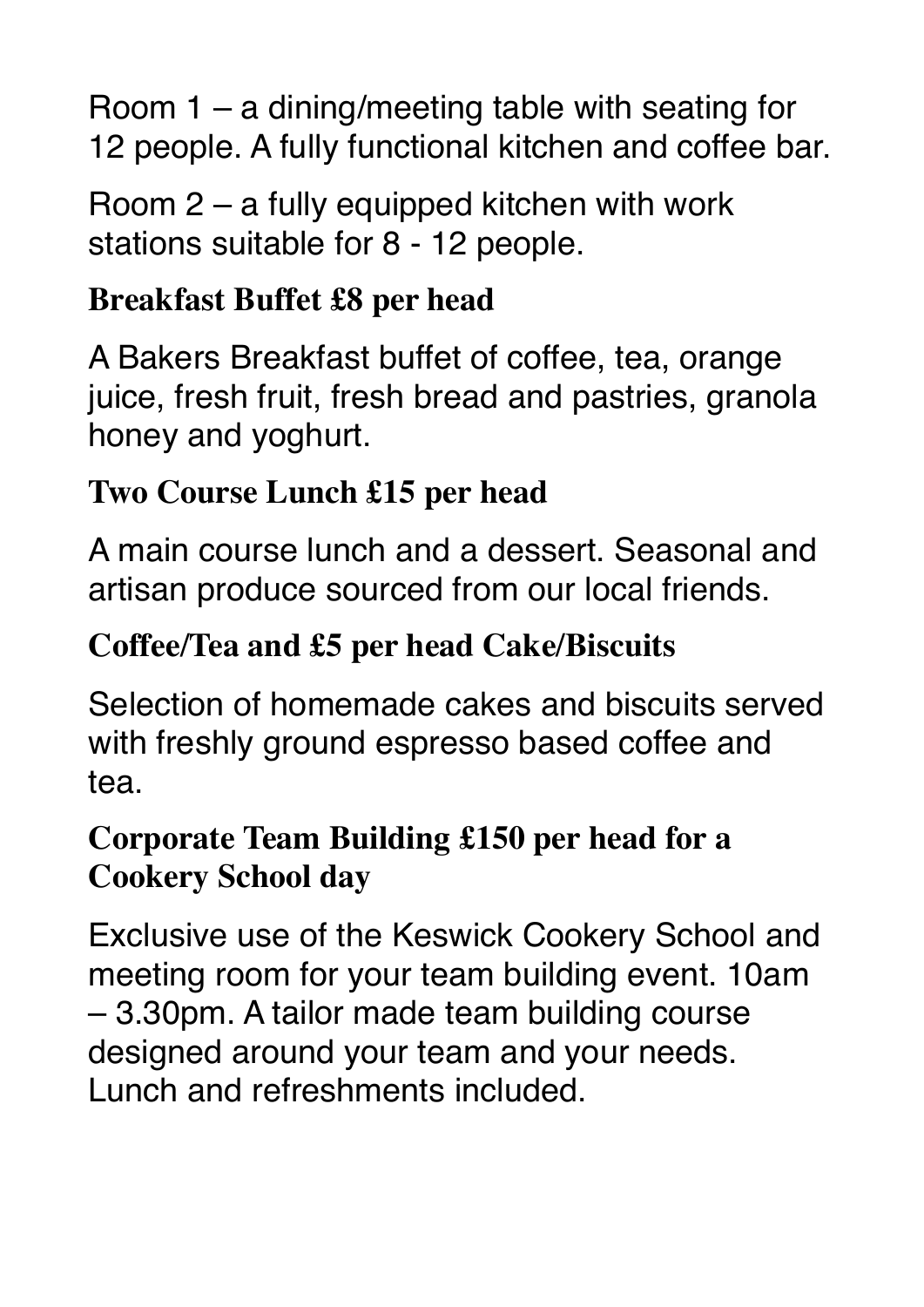Room 1 – a dining/meeting table with seating for 12 people. A fully functional kitchen and coffee bar.

Room 2 – a fully equipped kitchen with work stations suitable for 8 - 12 people.

## **Breakfast Buffet £8 per head**

A Bakers Breakfast buffet of coffee, tea, orange juice, fresh fruit, fresh bread and pastries, granola honey and yoghurt.

# **Two Course Lunch £15 per head**

A main course lunch and a dessert. Seasonal and artisan produce sourced from our local friends.

# **Coffee/Tea and £5 per head Cake/Biscuits**

Selection of homemade cakes and biscuits served with freshly ground espresso based coffee and tea.

# **Corporate Team Building £150 per head for a Cookery School day**

Exclusive use of the Keswick Cookery School and meeting room for your team building event. 10am – 3.30pm. A tailor made team building course designed around your team and your needs. Lunch and refreshments included.